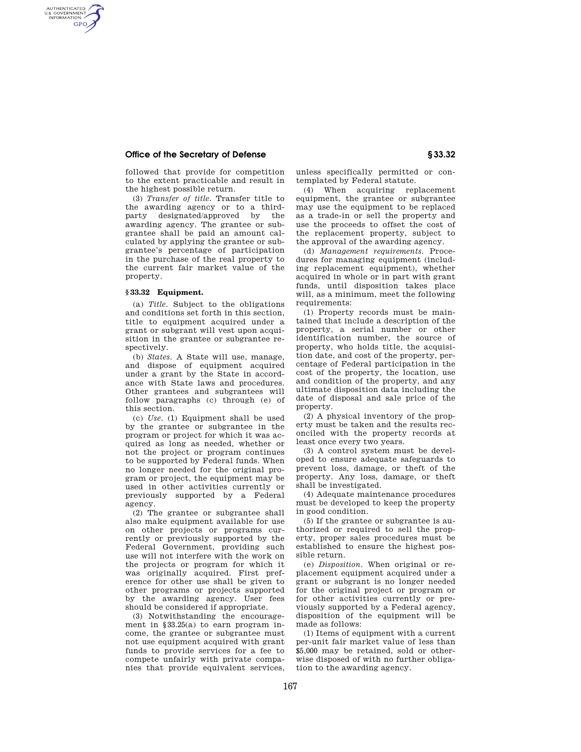## **Office of the Secretary of Defense § 33.32**

followed that provide for competition to the extent practicable and result in the highest possible return.

(3) *Transfer of title.* Transfer title to the awarding agency or to a thirdparty designated/approved by the awarding agency. The grantee or subgrantee shall be paid an amount calculated by applying the grantee or subgrantee's percentage of participation in the purchase of the real property to the current fair market value of the property.

## **§ 33.32 Equipment.**

AUTHENTICATED<br>U.S. GOVERNMENT<br>INFORMATION **GPO** 

> (a) *Title.* Subject to the obligations and conditions set forth in this section, title to equipment acquired under a grant or subgrant will vest upon acquisition in the grantee or subgrantee respectively.

> (b) *States.* A State will use, manage, and dispose of equipment acquired under a grant by the State in accordance with State laws and procedures. Other grantees and subgrantees will follow paragraphs (c) through (e) of this section.

> (c) *Use.* (1) Equipment shall be used by the grantee or subgrantee in the program or project for which it was acquired as long as needed, whether or not the project or program continues to be supported by Federal funds. When no longer needed for the original program or project, the equipment may be used in other activities currently or previously supported by a Federal agency.

> (2) The grantee or subgrantee shall also make equipment available for use on other projects or programs currently or previously supported by the Federal Government, providing such use will not interfere with the work on the projects or program for which it was originally acquired. First preference for other use shall be given to other programs or projects supported by the awarding agency. User fees should be considered if appropriate.

> (3) Notwithstanding the encouragement in §33.25(a) to earn program income, the grantee or subgrantee must not use equipment acquired with grant funds to provide services for a fee to compete unfairly with private companies that provide equivalent services,

unless specifically permitted or contemplated by Federal statute.

(4) When acquiring replacement equipment, the grantee or subgrantee may use the equipment to be replaced as a trade-in or sell the property and use the proceeds to offset the cost of the replacement property, subject to the approval of the awarding agency.

(d) *Management requirements.* Procedures for managing equipment (including replacement equipment), whether acquired in whole or in part with grant funds, until disposition takes place will, as a minimum, meet the following requirements:

(1) Property records must be maintained that include a description of the property, a serial number or other identification number, the source of property, who holds title, the acquisition date, and cost of the property, percentage of Federal participation in the cost of the property, the location, use and condition of the property, and any ultimate disposition data including the date of disposal and sale price of the property.

(2) A physical inventory of the property must be taken and the results reconciled with the property records at least once every two years.

(3) A control system must be developed to ensure adequate safeguards to prevent loss, damage, or theft of the property. Any loss, damage, or theft shall be investigated.

(4) Adequate maintenance procedures must be developed to keep the property in good condition.

(5) If the grantee or subgrantee is authorized or required to sell the property, proper sales procedures must be established to ensure the highest possible return.

(e) *Disposition.* When original or replacement equipment acquired under a grant or subgrant is no longer needed for the original project or program or for other activities currently or previously supported by a Federal agency, disposition of the equipment will be made as follows:

(1) Items of equipment with a current per-unit fair market value of less than \$5,000 may be retained, sold or otherwise disposed of with no further obligation to the awarding agency.